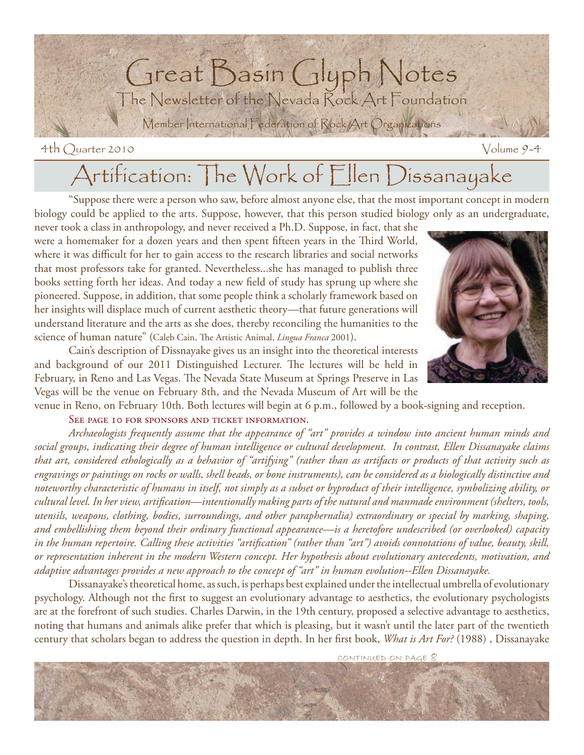

# Artification: The Work of Ellen Dissanayake

 "Suppose there were a person who saw, before almost anyone else, that the most important concept in modern biology could be applied to the arts. Suppose, however, that this person studied biology only as an undergraduate,

never took a class in anthropology, and never received a Ph.D. Suppose, in fact, that she were a homemaker for a dozen years and then spent fifteen years in the Third World, where it was difficult for her to gain access to the research libraries and social networks that most professors take for granted. Nevertheless...she has managed to publish three books setting forth her ideas. And today a new field of study has sprung up where she pioneered. Suppose, in addition, that some people think a scholarly framework based on her insights will displace much of current aesthetic theory—that future generations will understand literature and the arts as she does, thereby reconciling the humanities to the science of human nature" (Caleb Cain, The Artistic Animal, *Lingua Franca* 2001).

 Cain's description of Dissnayake gives us an insight into the theoretical interests and background of our 2011 Distinguished Lecturer. The lectures will be held in February, in Reno and Las Vegas. The Nevada State Museum at Springs Preserve in Las Vegas will be the venue on February 8th, and the Nevada Museum of Art will be the

venue in Reno, on February 10th. Both lectures will begin at 6 p.m., followed by a book-signing and reception. SEE PAGE 10 FOR SPONSORS AND TICKET INFORMATION.

*Archaeologists frequently assume that the appearance of "art" provides a window into ancient human minds and social groups, indicating their degree of human intelligence or cultural development. In contrast, Ellen Dissanayake claims that art, considered ethologically as a behavior of "artifying" (rather than as artifacts or products of that activity such as engravings or paintings on rocks or walls, shell beads, or bone instruments), can be considered as a biologically distinctive and noteworthy characteristic of humans in itself, not simply as a subset or byproduct of their intelligence, symbolizing ability, or cultural level. In her view, artifi cation—intentionally making parts of the natural and manmade environment (shelters, tools, utensils, weapons, clothing, bodies, surroundings, and other paraphernalia) extraordinary or special by marking, shaping, and embellishing them beyond their ordinary functional appearance—is a heretofore undescribed (or overlooked) capacity*  in the human repertoire. Calling these activities "artification" (rather than "art") avoids connotations of value, beauty, skill, *or representation inherent in the modern Western concept. Her hypothesis about evolutionary antecedents, motivation, and adaptive advantages provides a new approach to the concept of "art" in human evolution--Ellen Dissanayake.* 

 Dissanayake's theoretical home, as such, is perhaps best explained under the intellectual umbrella of evolutionary psychology. Although not the first to suggest an evolutionary advantage to aesthetics, the evolutionary psychologists are at the forefront of such studies. Charles Darwin, in the 19th century, proposed a selective advantage to aesthetics, noting that humans and animals alike prefer that which is pleasing, but it wasn't until the later part of the twentieth century that scholars began to address the question in depth. In her first book, *What is Art For?* (1988), Dissanayake

CONTINUED ON PAGE 8



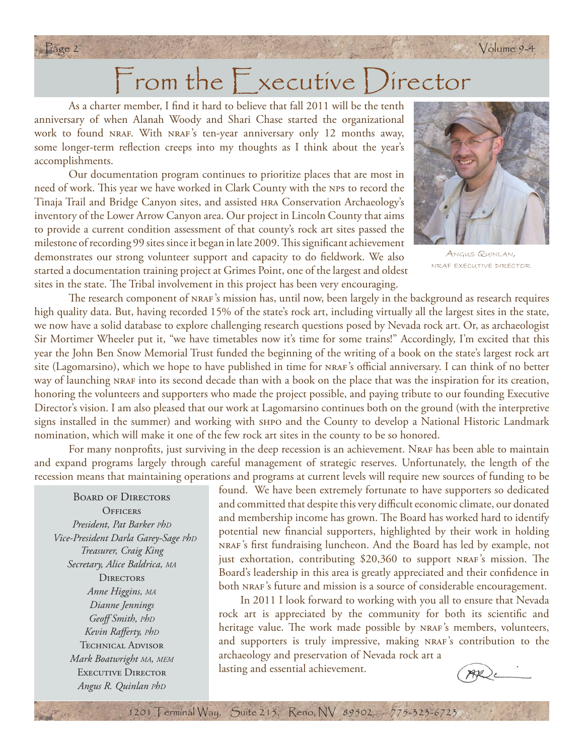# From the  $\mathsf F$  xecutive Director

Page 2 Volume 9-4

As a charter member, I find it hard to believe that fall 2011 will be the tenth anniversary of when Alanah Woody and Shari Chase started the organizational work to found NRAF. With NRAF's ten-year anniversary only 12 months away, some longer-term reflection creeps into my thoughts as I think about the year's accomplishments.

 Our documentation program continues to prioritize places that are most in need of work. This year we have worked in Clark County with the NPS to record the Tinaja Trail and Bridge Canyon sites, and assisted hra Conservation Archaeology's inventory of the Lower Arrow Canyon area. Our project in Lincoln County that aims to provide a current condition assessment of that county's rock art sites passed the milestone of recording 99 sites since it began in late 2009. This significant achievement demonstrates our strong volunteer support and capacity to do fieldwork. We also started a documentation training project at Grimes Point, one of the largest and oldest sites in the state. The Tribal involvement in this project has been very encouraging.



ANGUS QUINLAN, NRAF EXECUTIVE DIRECTOR

The research component of NRAF's mission has, until now, been largely in the background as research requires high quality data. But, having recorded 15% of the state's rock art, including virtually all the largest sites in the state, we now have a solid database to explore challenging research questions posed by Nevada rock art. Or, as archaeologist Sir Mortimer Wheeler put it, "we have timetables now it's time for some trains!" Accordingly, I'm excited that this year the John Ben Snow Memorial Trust funded the beginning of the writing of a book on the state's largest rock art site (Lagomarsino), which we hope to have published in time for NRAF's official anniversary. I can think of no better way of launching NRAF into its second decade than with a book on the place that was the inspiration for its creation, honoring the volunteers and supporters who made the project possible, and paying tribute to our founding Executive Director's vision. I am also pleased that our work at Lagomarsino continues both on the ground (with the interpretive signs installed in the summer) and working with shpo and the County to develop a National Historic Landmark nomination, which will make it one of the few rock art sites in the county to be so honored.

For many nonprofits, just surviving in the deep recession is an achievement. NRAF has been able to maintain and expand programs largely through careful management of strategic reserves. Unfortunately, the length of the recession means that maintaining operations and programs at current levels will require new sources of funding to be

Board of Directors **OFFICERS** *President, Pat Barker PhD Vice-President Darla Garey-Sage PhD Treasurer, Craig King Secretary, Alice Baldrica, MA* **DIRECTORS** *Anne Higgins, MA Dianne Jennings Geoff Smith, PhD* Kevin Rafferty, PhD TECHNICAL ADVISOR *Mark Boatwright MA, MEM* EXECUTIVE DIRECTOR *Angus R. Quinlan PhD*

found. We have been extremely fortunate to have supporters so dedicated and committed that despite this very difficult economic climate, our donated and membership income has grown. The Board has worked hard to identify potential new financial supporters, highlighted by their work in holding NRAF's first fundraising luncheon. And the Board has led by example, not just exhortation, contributing \$20,360 to support NRAF's mission. The Board's leadership in this area is greatly appreciated and their confidence in both NRAF's future and mission is a source of considerable encouragement.

 In 2011 I look forward to working with you all to ensure that Nevada rock art is appreciated by the community for both its scientific and heritage value. The work made possible by NRAF's members, volunteers, and supporters is truly impressive, making NRAF's contribution to the archaeology and preservation of Nevada rock art a lasting and essential achievement.

1201 Terminal Way, Suite 215, Reno, NV 89502 775-323-6723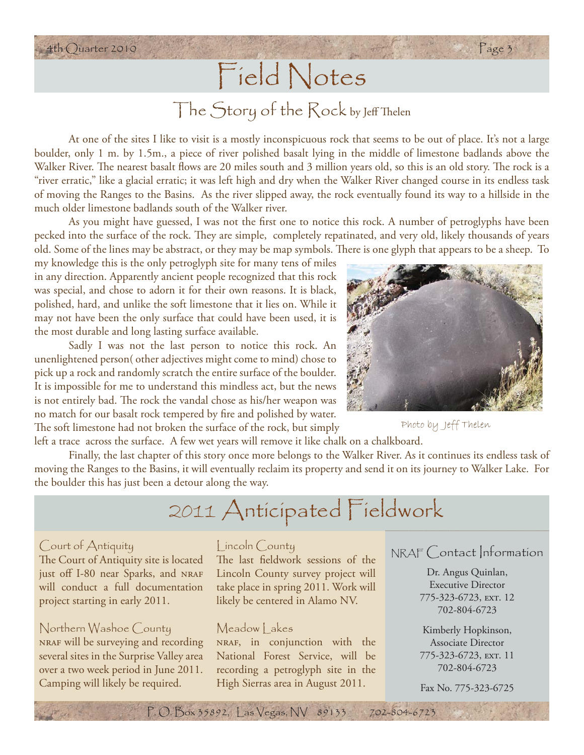# Field Notes

4th Quarter 2010 Page 3

# The Story of the Rock by Jeff Thelen

 At one of the sites I like to visit is a mostly inconspicuous rock that seems to be out of place. It's not a large boulder, only 1 m. by 1.5m., a piece of river polished basalt lying in the middle of limestone badlands above the Walker River. The nearest basalt flows are 20 miles south and 3 million years old, so this is an old story. The rock is a "river erratic," like a glacial erratic; it was left high and dry when the Walker River changed course in its endless task of moving the Ranges to the Basins. As the river slipped away, the rock eventually found its way to a hillside in the much older limestone badlands south of the Walker river.

As you might have guessed, I was not the first one to notice this rock. A number of petroglyphs have been pecked into the surface of the rock. They are simple, completely repatinated, and very old, likely thousands of years old. Some of the lines may be abstract, or they may be map symbols. There is one glyph that appears to be a sheep. To

my knowledge this is the only petroglyph site for many tens of miles in any direction. Apparently ancient people recognized that this rock was special, and chose to adorn it for their own reasons. It is black, polished, hard, and unlike the soft limestone that it lies on. While it may not have been the only surface that could have been used, it is the most durable and long lasting surface available.

 Sadly I was not the last person to notice this rock. An unenlightened person( other adjectives might come to mind) chose to pick up a rock and randomly scratch the entire surface of the boulder. It is impossible for me to understand this mindless act, but the news is not entirely bad. The rock the vandal chose as his/her weapon was no match for our basalt rock tempered by fire and polished by water. The soft limestone had not broken the surface of the rock, but simply

left a trace across the surface. A few wet years will remove it like chalk on a chalkboard.

 Finally, the last chapter of this story once more belongs to the Walker River. As it continues its endless task of moving the Ranges to the Basins, it will eventually reclaim its property and send it on its journey to Walker Lake. For the boulder this has just been a detour along the way.

# 2011 Anticipated Fieldwork

#### Court of Antiquity

The Court of Antiquity site is located just off I-80 near Sparks, and NRAF will conduct a full documentation project starting in early 2011.

### Northern Washoe County

nraf will be surveying and recording several sites in the Surprise Valley area over a two week period in June 2011. Camping will likely be required.

#### Lincoln County

The last fieldwork sessions of the Lincoln County survey project will take place in spring 2011. Work will likely be centered in Alamo NV.

#### Meadow Lakes

nraf, in conjunction with the National Forest Service, will be recording a petroglyph site in the High Sierras area in August 2011.

NRAF Contact Information

Dr. Angus Quinlan, Executive Director 775-323-6723, ext. 12 702-804-6723

Kimberly Hopkinson, Associate Director 775-323-6723, ext. 11 702-804-6723

Fax No. 775-323-6725



Photo by Jeff Thelen

P. O. Box 35892, Las Vegas, NV 89133 702-804-6723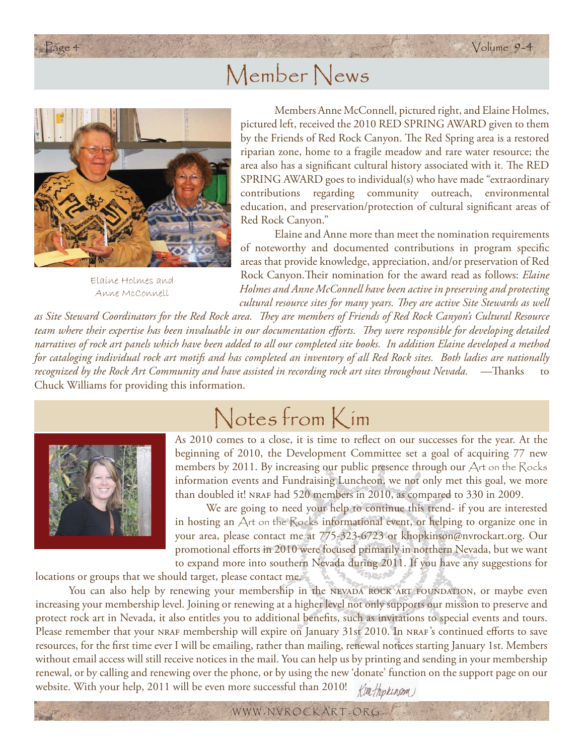### Member News



Elaine Holmes and Anne McConnell

 Members Anne McConnell, pictured right, and Elaine Holmes, pictured left, received the 2010 RED SPRING AWARD given to them by the Friends of Red Rock Canyon. The Red Spring area is a restored riparian zone, home to a fragile meadow and rare water resource; the area also has a significant cultural history associated with it. The RED SPRING AWARD goes to individual(s) who have made "extraordinary contributions regarding community outreach, environmental education, and preservation/protection of cultural significant areas of Red Rock Canyon."

 Elaine and Anne more than meet the nomination requirements of noteworthy and documented contributions in program specific areas that provide knowledge, appreciation, and/or preservation of Red Rock Canyon. Their nomination for the award read as follows: *Elaine Holmes and Anne McConnell have been active in preserving and protecting cultural resource sites for many years. They are active Site Stewards as well* 

*as Site Steward Coordinators for the Red Rock area. Th ey are members of Friends of Red Rock Canyon's Cultural Resource*  team where their expertise has been invaluable in our documentation efforts. They were responsible for developing detailed *narratives of rock art panels which have been added to all our completed site books. In addition Elaine developed a method for cataloging individual rock art motifs and has completed an inventory of all Red Rock sites. Both ladies are nationally recognized by the Rock Art Community and have assisted in recording rock art sites throughout Nevada.* —Thanks Chuck Williams for providing this information.



# Notes from Kim

As 2010 comes to a close, it is time to reflect on our successes for the year. At the beginning of 2010, the Development Committee set a goal of acquiring 77 new members by 2011. By increasing our public presence through our Art on the Rocks information events and Fundraising Luncheon, we not only met this goal, we more than doubled it! NRAF had 520 members in 2010, as compared to 330 in 2009.

 We are going to need your help to continue this trend- if you are interested in hosting an  $\Delta$ rt on the  $\mathcal R$ ocks informational event, or helping to organize one in your area, please contact me at 775-323-6723 or khopkinson@nvrockart.org. Our promotional efforts in 2010 were focused primarily in northern Nevada, but we want to expand more into southern Nevada during 2011. If you have any suggestions for

locations or groups that we should target, please contact me.

You can also help by renewing your membership in the NEVADA ROCK ART FOUNDATION, or maybe even increasing your membership level. Joining or renewing at a higher level not only supports our mission to preserve and protect rock art in Nevada, it also entitles you to additional benefits, such as invitations to special events and tours. Please remember that your NRAF membership will expire on January 31st 2010. In NRAF's continued efforts to save resources, for the first time ever I will be emailing, rather than mailing, renewal notices starting January 1st. Members without email access will still receive notices in the mail. You can help us by printing and sending in your membership renewal, or by calling and renewing over the phone, or by using the new 'donate' function on the support page on our website. With your help, 2011 will be even more successful than 2010! Kimfopkinson

WWW . NVROCKART . ORG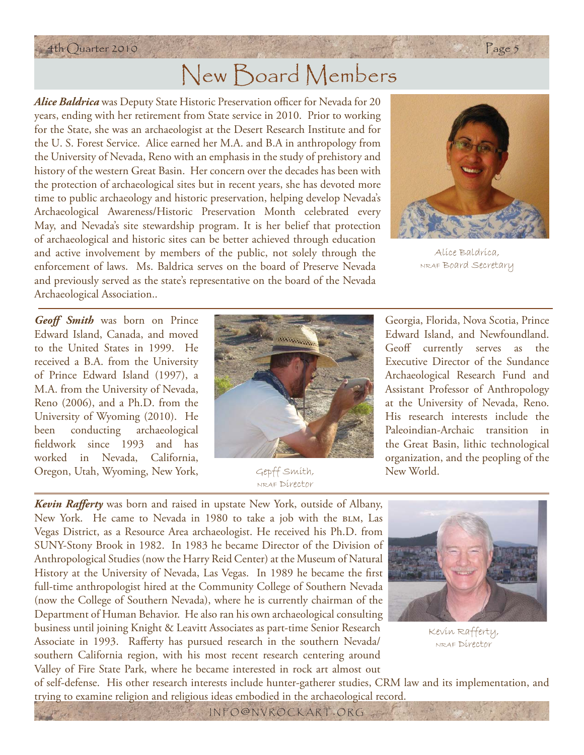#### 4th Quarter 2010 Page 5

# New Board Members

*Alice Baldrica* was Deputy State Historic Preservation officer for Nevada for 20 years, ending with her retirement from State service in 2010. Prior to working for the State, she was an archaeologist at the Desert Research Institute and for the U. S. Forest Service. Alice earned her M.A. and B.A in anthropology from the University of Nevada, Reno with an emphasis in the study of prehistory and history of the western Great Basin. Her concern over the decades has been with the protection of archaeological sites but in recent years, she has devoted more time to public archaeology and historic preservation, helping develop Nevada's Archaeological Awareness/Historic Preservation Month celebrated every May, and Nevada's site stewardship program. It is her belief that protection of archaeological and historic sites can be better achieved through education and active involvement by members of the public, not solely through the enforcement of laws. Ms. Baldrica serves on the board of Preserve Nevada and previously served as the state's representative on the board of the Nevada Archaeological Association..



Alice Baldrica, NRAF Board Secretary

*Geoff Smith* was born on Prince Edward Island, Canada, and moved to the United States in 1999. He received a B.A. from the University of Prince Edward Island (1997), a M.A. from the University of Nevada, Reno (2006), and a Ph.D. from the University of Wyoming (2010). He been conducting archaeological fi eldwork since 1993 and has worked in Nevada, California, Oregon, Utah, Wyoming, New York,



Gepff Smith, NRAF Director

Georgia, Florida, Nova Scotia, Prince Edward Island, and Newfoundland. Geoff currently serves as the Executive Director of the Sundance Archaeological Research Fund and Assistant Professor of Anthropology at the University of Nevada, Reno. His research interests include the Paleoindian-Archaic transition in the Great Basin, lithic technological organization, and the peopling of the New World.

*Kevin Rafferty* was born and raised in upstate New York, outside of Albany, New York. He came to Nevada in 1980 to take a job with the BLM, Las Vegas District, as a Resource Area archaeologist. He received his Ph.D. from SUNY-Stony Brook in 1982. In 1983 he became Director of the Division of Anthropological Studies (now the Harry Reid Center) at the Museum of Natural History at the University of Nevada, Las Vegas. In 1989 he became the first full-time anthropologist hired at the Community College of Southern Nevada (now the College of Southern Nevada), where he is currently chairman of the Department of Human Behavior. He also ran his own archaeological consulting business until joining Knight & Leavitt Associates as part-time Senior Research Associate in 1993. Rafferty has pursued research in the southern Nevada/ southern California region, with his most recent research centering around Valley of Fire State Park, where he became interested in rock art almost out



Kevin Rafferty, NRAF Director

of self-defense. His other research interests include hunter-gatherer studies, CRM law and its implementation, and trying to examine religion and religious ideas embodied in the archaeological record.

INFO @ NVROCKART . ORG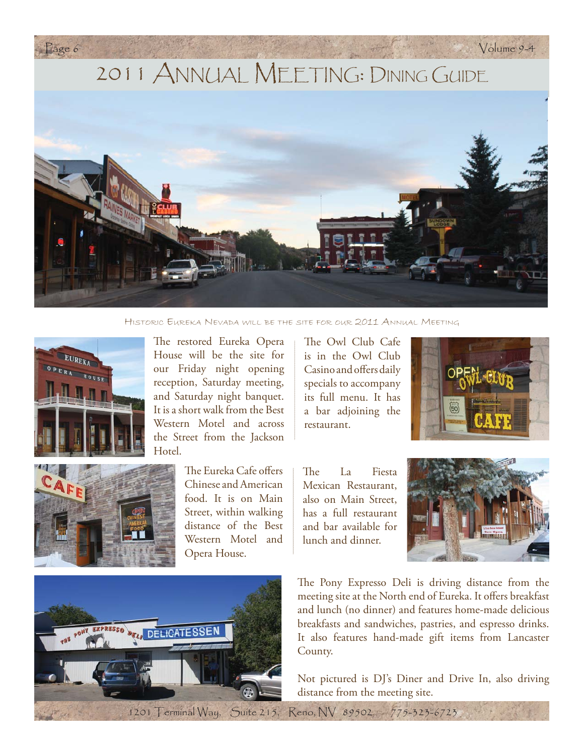

HISTORIC EUREKA NEVADA WILL BE THE SITE FOR OUR 2011 ANNUAL MEETING





The restored Eureka Opera House will be the site for our Friday night opening reception, Saturday meeting, and Saturday night banquet. It is a short walk from the Best Western Motel and across the Street from the Jackson Hotel.

> The Eureka Cafe offers Chinese and American food. It is on Main Street, within walking distance of the Best Western Motel and Opera House.

The Owl Club Cafe is in the Owl Club Casino and offers daily specials to accompany its full menu. It has a bar adjoining the restaurant.



The La Fiesta Mexican Restaurant, also on Main Street, has a full restaurant and bar available for lunch and dinner.





The Pony Expresso Deli is driving distance from the meeting site at the North end of Eureka. It offers breakfast and lunch (no dinner) and features home-made delicious breakfasts and sandwiches, pastries, and espresso drinks. It also features hand-made gift items from Lancaster County.

Not pictured is DJ's Diner and Drive In, also driving distance from the meeting site.

1201 Terminal Way, Suite 215, Reno, NV 89502 775-323-6723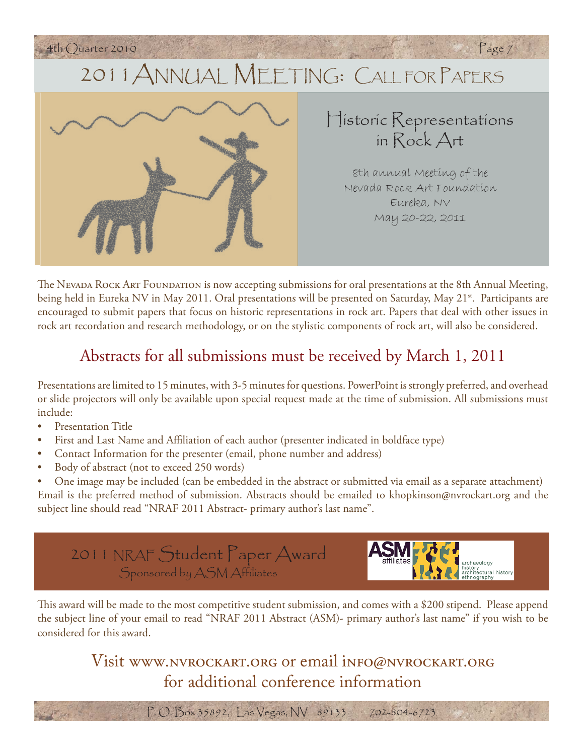

8th annual Meeting of the Nevada Rock Art Foundation Eureka, NV May 20-22, 2011

The Nevada Rock Art Foundation is now accepting submissions for oral presentations at the 8th Annual Meeting, being held in Eureka NV in May 2011. Oral presentations will be presented on Saturday, May 21<sup>st</sup>. Participants are encouraged to submit papers that focus on historic representations in rock art. Papers that deal with other issues in rock art recordation and research methodology, or on the stylistic components of rock art, will also be considered.

### Abstracts for all submissions must be received by March 1, 2011

Presentations are limited to 15 minutes, with 3-5 minutes for questions. PowerPoint is strongly preferred, and overhead or slide projectors will only be available upon special request made at the time of submission. All submissions must include:

- Presentation Title
- First and Last Name and Affiliation of each author (presenter indicated in boldface type)
- Contact Information for the presenter (email, phone number and address)
- Body of abstract (not to exceed 250 words)
- One image may be included (can be embedded in the abstract or submitted via email as a separate attachment) Email is the preferred method of submission. Abstracts should be emailed to khopkinson@nvrockart.org and the subject line should read "NRAF 2011 Abstract- primary author's last name".

2011 NRAF Student Paper Award Sponsored by ASM Affiliates

,<br>!ctural history

This award will be made to the most competitive student submission, and comes with a \$200 stipend. Please append the subject line of your email to read "NRAF 2011 Abstract (ASM)- primary author's last name" if you wish to be considered for this award.

> Visit www.nvrockart.org or email info@nvrockart.org for additional conference information

> > P. O. Box 35892, Las Vegas, NV 89133 702-804-6723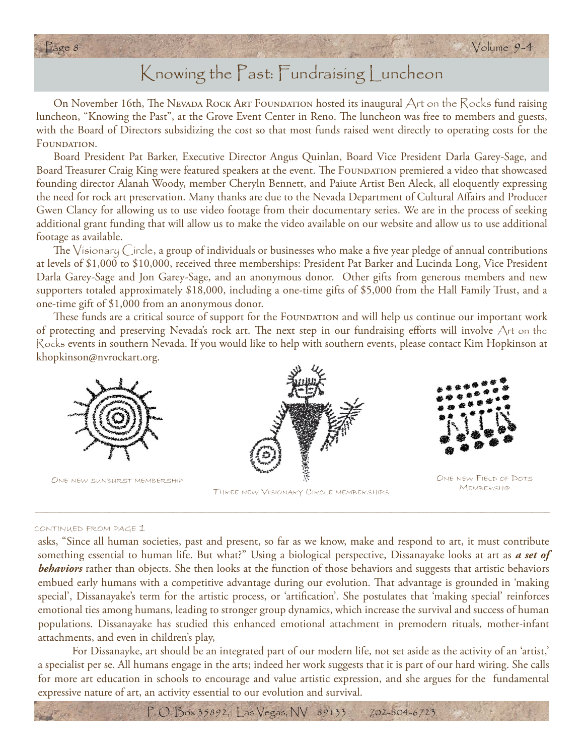

### Knowing the Past: Fundraising Luncheon

On November 16th, The Nevada Rock Art Foundation hosted its inaugural  $\bigtriangleup$ rt on the  $\bigtriangleup$ ocks fund raising luncheon, "Knowing the Past", at the Grove Event Center in Reno. The luncheon was free to members and guests, with the Board of Directors subsidizing the cost so that most funds raised went directly to operating costs for the FOUNDATION.

Board President Pat Barker, Executive Director Angus Quinlan, Board Vice President Darla Garey-Sage, and Board Treasurer Craig King were featured speakers at the event. The FOUNDATION premiered a video that showcased founding director Alanah Woody, member Cheryln Bennett, and Paiute Artist Ben Aleck, all eloquently expressing the need for rock art preservation. Many thanks are due to the Nevada Department of Cultural Affairs and Producer Gwen Clancy for allowing us to use video footage from their documentary series. We are in the process of seeking additional grant funding that will allow us to make the video available on our website and allow us to use additional footage as available.

The  $\vee$ isionary Circle, a group of individuals or businesses who make a five year pledge of annual contributions at levels of \$1,000 to \$10,000, received three memberships: President Pat Barker and Lucinda Long, Vice President Darla Garey-Sage and Jon Garey-Sage, and an anonymous donor. Other gifts from generous members and new supporters totaled approximately \$18,000, including a one-time gifts of \$5,000 from the Hall Family Trust, and a one-time gift of \$1,000 from an anonymous donor.

These funds are a critical source of support for the FOUNDATION and will help us continue our important work of protecting and preserving Nevada's rock art. The next step in our fundraising efforts will involve  $A$ rt on the Rocks events in southern Nevada. If you would like to help with southern events, please contact Kim Hopkinson at khopkinson@nvrockart.org.





THREE NEW VISIONARY CIRCLE MEMBERSHIPS



MEMBERSHIP

#### CONTINUED FROM PAGE 1

asks, "Since all human societies, past and present, so far as we know, make and respond to art, it must contribute something essential to human life. But what?" Using a biological perspective, Dissanayake looks at art as *a set of behaviors* rather than objects. She then looks at the function of those behaviors and suggests that artistic behaviors embued early humans with a competitive advantage during our evolution. That advantage is grounded in 'making special', Dissanayake's term for the artistic process, or 'artification'. She postulates that 'making special' reinforces emotional ties among humans, leading to stronger group dynamics, which increase the survival and success of human populations. Dissanayake has studied this enhanced emotional attachment in premodern rituals, mother-infant attachments, and even in children's play,

 For Dissanayke, art should be an integrated part of our modern life, not set aside as the activity of an 'artist,' a specialist per se. All humans engage in the arts; indeed her work suggests that it is part of our hard wiring. She calls for more art education in schools to encourage and value artistic expression, and she argues for the fundamental expressive nature of art, an activity essential to our evolution and survival.

P. O. Box 35892, Las Vegas, NV 89133 702-804-6723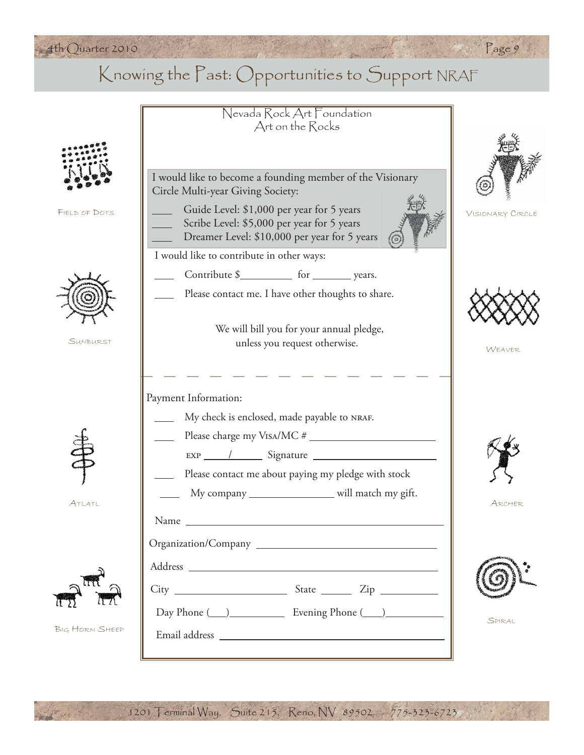### 4th Quarter 2010 Page 9

### Knowing the Past: Opportunities to Support NRAF

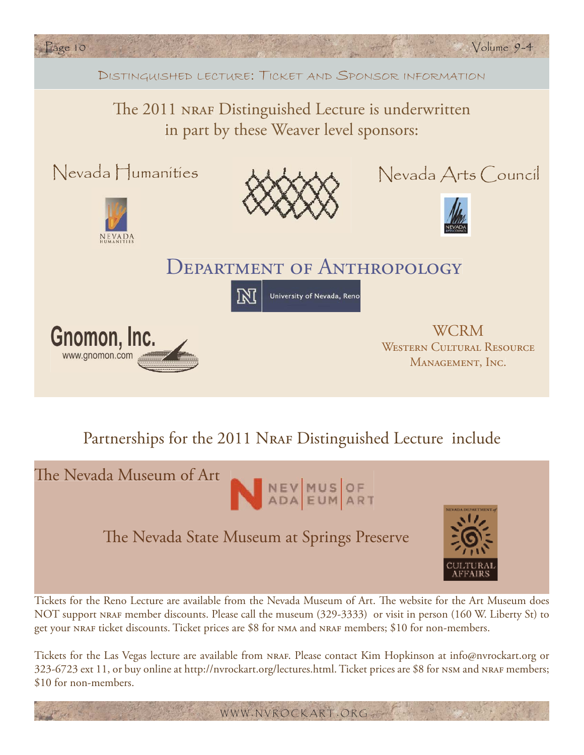

### Partnerships for the 2011 NRAF Distinguished Lecture include



Tickets for the Reno Lecture are available from the Nevada Museum of Art. The website for the Art Museum does NOT support nraf member discounts. Please call the museum (329-3333) or visit in person (160 W. Liberty St) to get your NRAF ticket discounts. Ticket prices are \$8 for NMA and NRAF members; \$10 for non-members.

Tickets for the Las Vegas lecture are available from NRAF. Please contact Kim Hopkinson at info@nvrockart.org or 323-6723 ext 11, or buy online at http://nvrockart.org/lectures.html. Ticket prices are \$8 for NSM and NRAF members; \$10 for non-members.

WWW . NVROCKART . ORG